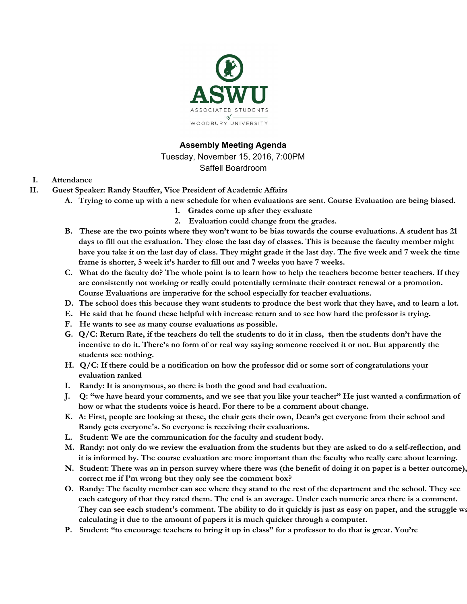

## **Assembly Meeting Agenda**

Tuesday, November 15, 2016, 7:00PM Saffell Boardroom

### **I. Attendance**

- **II. Guest Speaker: Randy Stauffer, Vice President of Academic Affairs**
	- A. Trying to come up with a new schedule for when evaluations are sent. Course Evaluation are being biased.
		- **1. Grades come up after they evaluate**
		- **2. Evaluation could change from the grades.**
	- B. These are the two points where they won't want to be bias towards the course evaluations. A student has 21 days to fill out the evaluation. They close the last day of classes. This is because the faculty member might have you take it on the last day of class. They might grade it the last day. The five week and 7 week the time **frame is shorter, 5 week it's harder to fill out and 7 weeks you have 7 weeks.**
	- C. What do the faculty do? The whole point is to learn how to help the teachers become better teachers. If they **are consistently not working or really could potentially terminate their contract renewal or a promotion. Course Evaluations are imperative for the school especially for teacher evaluations.**
	- D. The school does this because they want students to produce the best work that they have, and to learn a lot.
	- E. He said that he found these helpful with increase return and to see how hard the professor is trying.
	- **F. He wants to see as many course evaluations as possible.**
	- G. Q/C: Return Rate, if the teachers do tell the students to do it in class, then the students don't have the incentive to do it. There's no form of or real way saying someone received it or not. But apparently the **students see nothing.**
	- H. Q/C: If there could be a notification on how the professor did or some sort of congratulations your **evaluation ranked**
	- **I. Randy: It is anonymous, so there is both the good and bad evaluation.**
	- J. Q: "we have heard your comments, and we see that you like your teacher" He just wanted a confirmation of **how or what the students voice is heard. For there to be a comment about change.**
	- K. A: First, people are looking at these, the chair gets their own, Dean's get everyone from their school and **Randy gets everyone's. So everyone is receiving their evaluations.**
	- **L. Student: We are the communication for the faculty and student body.**
	- M. Randy: not only do we review the evaluation from the students but they are asked to do a self-reflection, and it is informed by. The course evaluation are more important than the faculty who really care about learning.
	- N. Student: There was an in person survey where there was (the benefit of doing it on paper is a better outcome), **correct me if I'm wrong but they only see the comment box?**
	- O. Randy: The faculty member can see where they stand to the rest of the department and the school. They see each category of that they rated them. The end is an average. Under each numeric area there is a comment. They can see each student's comment. The ability to do it quickly is just as easy on paper, and the struggle way **calculating it due to the amount of papers it is much quicker through a computer.**
	- P. Student: "to encourage teachers to bring it up in class" for a professor to do that is great. You're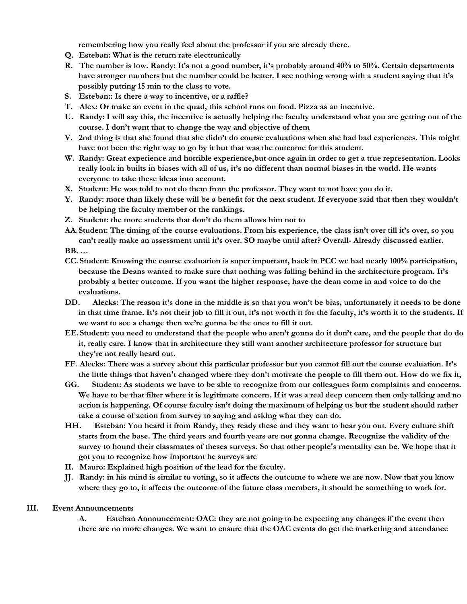**remembering how you really feel about the professor if you are already there.**

- **Q. Esteban: What is the return rate electronically**
- R. The number is low. Randy: It's not a good number, it's probably around 40% to 50%. Certain departments have stronger numbers but the number could be better. I see nothing wrong with a student saying that it's **possibly putting 15 min to the class to vote.**
- **S. Esteban:: Is there a way to incentive, or a raffle?**
- **T. Alex: Or make an event in the quad, this school runs on food. Pizza as an incentive.**
- U. Randy: I will say this, the incentive is actually helping the faculty understand what you are getting out of the **course. I don't want that to change the way and objective of them**
- V. 2nd thing is that she found that she didn't do course evaluations when she had bad experiences. This might **have not been the right way to go by it but that was the outcome for this student.**
- W. Randy: Great experience and horrible experience, but once again in order to get a true representation. Looks really look in builts in biases with all of us, it's no different than normal biases in the world. He wants **everyone to take these ideas into account.**
- X. Student: He was told to not do them from the professor. They want to not have you do it.
- Y. Randy: more than likely these will be a benefit for the next student. If everyone said that then they wouldn't **be helping the faculty member or the rankings.**
- **Z. Student: the more students that don't do them allows him not to**
- AA. Student: The timing of the course evaluations. From his experience, the class isn't over till it's over, so you **can't really make an assessment until it's over. SO maybe until after? Overall- Already discussed earlier.**

**BB. …**

- CC. Student: Knowing the course evaluation is super important, back in PCC we had nearly 100% participation, **because the Deans wanted to make sure that nothing was falling behind in the architecture program. It's** probably a better outcome. If you want the higher response, have the dean come in and voice to do the **evaluations.**
- DD. Alecks: The reason it's done in the middle is so that you won't be bias, unfortunately it needs to be done in that time frame. It's not their job to fill it out, it's not worth it for the faculty, it's worth it to the students. If **we want to see a change then we're gonna be the ones to fill it out.**
- EE. Student: you need to understand that the people who aren't gonna do it don't care, and the people that do do it, really care. I know that in architecture they still want another architecture professor for structure but **they're not really heard out.**
- FF. Alecks: There was a survey about this particular professor but you cannot fill out the course evaluation. It's the little things that haven't changed where they don't motivate the people to fill them out. How do we fix it,
- GG. Student: As students we have to be able to recognize from our colleagues form complaints and concerns. We have to be that filter where it is legitimate concern. If it was a real deep concern then only talking and no action is happening. Of course faculty isn't doing the maximum of helping us but the student should rather **take a course of action from survey to saying and asking what they can do.**
- HH. Esteban: You heard it from Randy, they ready these and they want to hear you out. Every culture shift starts from the base. The third years and fourth years are not gonna change. Recognize the validity of the survey to hound their classmates of theses surveys. So that other people's mentality can be. We hope that it **got you to recognize how important he surveys are**
- **II. Mauro: Explained high position of the lead for the faculty.**
- JJ. Randy: in his mind is similar to voting, so it affects the outcome to where we are now. Now that you know where they go to, it affects the outcome of the future class members, it should be something to work for.

### **III. Event Announcements**

**A. Esteban Announcement: OAC: they are not going to be expecting any changes if the event then** there are no more changes. We want to ensure that the OAC events do get the marketing and attendance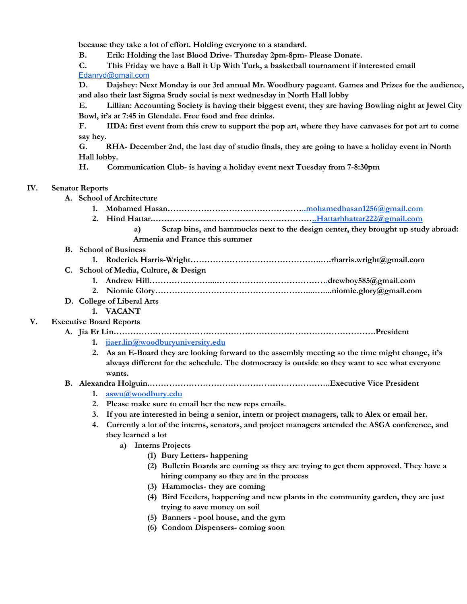**because they take a lot of effort. Holding everyone to a standard.**

**B. Erik: Holding the last Blood Drive- Thursday 2pm-8pm- Please Donate.**

**C. This Friday we have a Ball it Up With Turk, a basketball tournament if interested email** [Edanryd@gmail.com](mailto:Edanryd@gmail.com)

**D. Dajshey: Next Monday is our 3rd annual Mr. Woodbury pageant. Games and Prizes for the audience, and also their last Sigma Study social is next wednesday in North Hall lobby**

**E. Lillian: Accounting Society is having their biggest event, they are having Bowling night at Jewel City Bowl, it's at 7:45 in Glendale. Free food and free drinks.**

F. IIDA: first event from this crew to support the pop art, where they have canvases for pot art to come **say hey.**

G. RHA- December 2nd, the last day of studio finals, they are going to have a holiday event in North **Hall lobby.**

**H. Communication Club- is having a holiday event next Tuesday from 7-8:30pm**

#### **IV. Senator Reports**

**A. School of Architecture**

**2. Hind Hattar.………………………………………………[…..Hattarhhattar222@gmail.com](mailto:..Hattarhhattar222@gmail.com)**

- **a) Scrap bins, and hammocks next to the design center, they brought up study abroad: Armenia and France this summer**
- **B. School of Business**
	- **1. Roderick Harris-Wright………………………………………..….rharris.wright@gmail.com**
- **C. School of Media, Culture, & Design**
	- **1. Andrew Hill…………………....………………………………….drewboy585@gmail.com**
	- **2. Niomie Glory………………………………………………....…....niomie.glory@gmail.com**

### **D. College of Liberal Arts**

#### **1. VACANT**

- **V. Executive Board Reports**
	- **A. Jia Er Lin………………………………………………………………………………….President**
		- **1. [jiaer.lin@woodburyuniversity.edu](mailto:jiaer.lin@woodburyuniversity.edu)**
		- **2. As an E-Board they are looking forward to the assembly meeting so the time might change, it's always different for the schedule. The dotmocracy is outside so they want to see what everyone wants.**

#### **B. Alexandra Holguin.………………………………………………………..Executive Vice President**

- **1. [aswu@woodbury.edu](mailto:aswu@woodbury.edu)**
- **2. Please make sure to email her the new reps emails.**
- 3. If you are interested in being a senior, intern or project managers, talk to Alex or email her.
- **4. Currently a lot of the interns, senators, and project managers attended the ASGA conference, and they learned a lot**
	- **a) Interns Projects**
		- **(1) Bury Letters- happening**
		- **(2) Bulletin Boards are coming as they are trying to get them approved. They have a hiring company so they are in the process**
		- **(3) Hammocks- they are coming**
		- **(4) Bird Feeders, happening and new plants in the community garden, they are just trying to save money on soil**
		- **(5) Banners - pool house, and the gym**
		- **(6) Condom Dispensers- coming soon**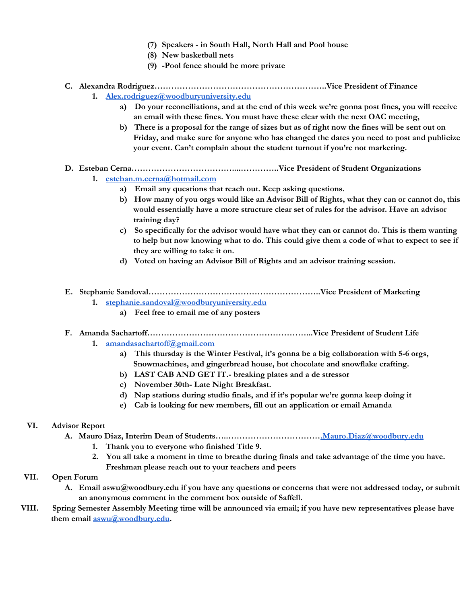- **(7) Speakers - in South Hall, North Hall and Pool house**
- **(8) New basketball nets**
- **(9) -Pool fence should be more private**

### **C. Alexandra Rodriguez……………………………………………………..Vice President of Finance 1. [Alex.rodriguez@woodburyuniversity.edu](mailto:Alex.rodriguez@woodburyuniversity.edu)**

- **a) Do your reconciliations, and at the end of this week we're gonna post fines, you will receive an email with these fines. You must have these clear with the next OAC meeting,**
- b) There is a proposal for the range of sizes but as of right now the fines will be sent out on **Friday, and make sure for anyone who has changed the dates you need to post and publicize your event. Can't complain about the student turnout if you're not marketing.**

### **D. Esteban Cerna………………………………....…………..Vice President of Student Organizations**

- **1. [esteban.m.cerna@hotmail.com](mailto:esteban.m.cerna@hotmail.com)**
	- **a) Email any questions that reach out. Keep asking questions.**
	- b) How many of you orgs would like an Advisor Bill of Rights, what they can or cannot do, this **would essentially have a more structure clear set of rules for the advisor. Have an advisor training day?**
	- **c) So specifically for the advisor would have what they can or cannot do. This is them wanting** to help but now knowing what to do. This could give them a code of what to expect to see if **they are willing to take it on.**
	- **d) Voted on having an Advisor Bill of Rights and an advisor training session.**

### **E. Stephanie Sandoval……………………………………………………..Vice President of Marketing**

- **1. [stephanie.sandoval@woodburyuniversity.edu](mailto:stephanie.sandoval@woodburyuniversity.edu)**
	- **a) Feel free to email me of any posters**

# **F. Amanda Sachartoff…………………………………………………...Vice President of Student Life**

- **1. [amandasachartoff@gmail.com](mailto:amandasachartoff@gmail.com)**
	- **a) This thursday is the Winter Festival, it's gonna be a big collaboration with 5-6 orgs, Snowmachines, and gingerbread house, hot chocolate and snowflake crafting.**
	- **b) LAST CAB AND GET IT.- breaking plates and a de stressor**
	- **c) November 30th- Late Night Breakfast.**
	- **d) Nap stations during studio finals, and if it's popular we're gonna keep doing it**
	- **e) Cab is looking for new members, fill out an application or email Amanda**

# **VI. Advisor Report**

- **A. Mauro Diaz, Interim Dean of Students…..…………………………….Mauro.Diaz@woodbury.edu**
	- **1. Thank you to everyone who finished Title 9.**
	- 2. You all take a moment in time to breathe during finals and take advantage of the time you have. **Freshman please reach out to your teachers and peers**

# **VII. Open Forum**

- **A. Email aswu@woodbury.edu if you have any questions or concerns that were not addressed today, or submit an anonymous comment in the comment box outside of Saffell.**
- VIII. Spring Semester Assembly Meeting time will be announced via email; if you have new representatives please have **them email [aswu@woodbury.edu.](mailto:aswu@woodbury.edu)**